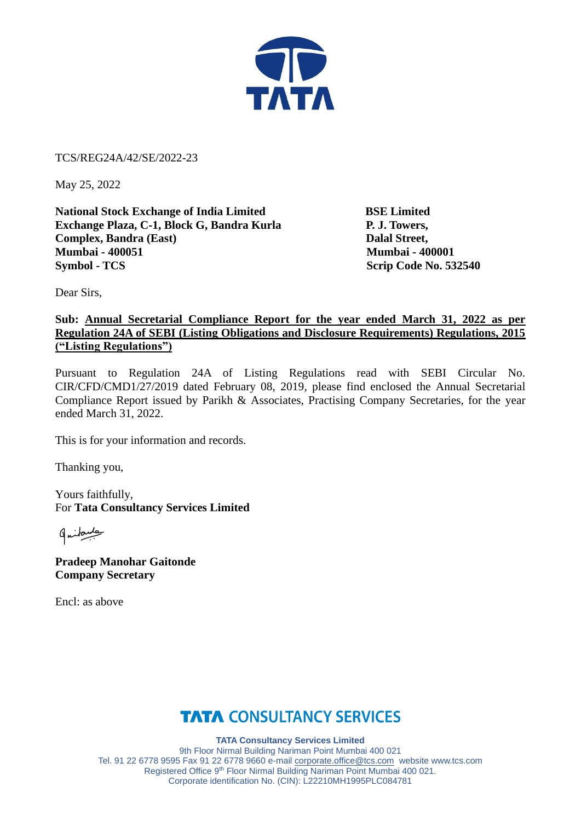

TCS/REG24A/42/SE/2022-23

May 25, 2022

**National Stock Exchange of India Limited BSE Limited Exchange Plaza, C-1, Block G, Bandra Kurla P. J. Towers, Complex, Bandra (East)** Dalal Street, **Mumbai - 400051 Mumbai - 400001 Symbol - TCS** Scrip Code No. 532540

Dear Sirs,

## **Sub: Annual Secretarial Compliance Report for the year ended March 31, 2022 as per Regulation 24A of SEBI (Listing Obligations and Disclosure Requirements) Regulations, 2015 ("Listing Regulations")**

Pursuant to Regulation 24A of Listing Regulations read with SEBI Circular No. CIR/CFD/CMD1/27/2019 dated February 08, 2019, please find enclosed the Annual Secretarial Compliance Report issued by Parikh & Associates, Practising Company Secretaries, for the year ended March 31, 2022.

This is for your information and records.

Thanking you,

Yours faithfully, For **Tata Consultancy Services Limited**

gritante

**Pradeep Manohar Gaitonde Company Secretary**

Encl: as above

## **TATA CONSULTANCY SERVICES**

**TATA Consultancy Services Limited** 9th Floor Nirmal Building Nariman Point Mumbai 400 021 Tel. 91 22 6778 9595 Fax 91 22 6778 9660 e-mail [corporate.office@tcs.com](mailto:corporate.office@tcs.com) website www.tcs.com Registered Office 9<sup>th</sup> Floor Nirmal Building Nariman Point Mumbai 400 021. Corporate identification No. (CIN): L22210MH1995PLC084781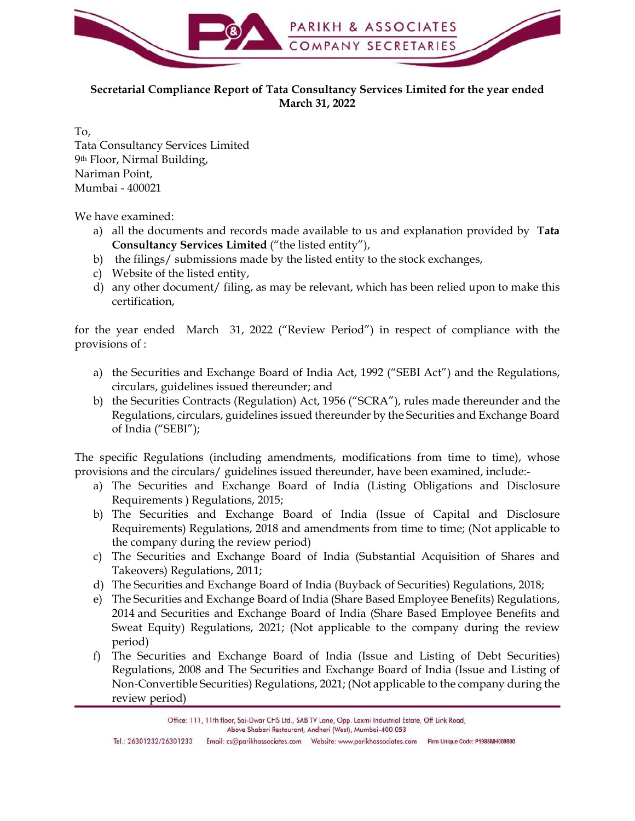

## Secretarial Compliance Report of Tata Consultancy Services Limited for the year ended March 31, 2022

To, Tata Consultancy Services Limited 9th Floor, Nirmal Building, Nariman Point, Mumbai - 400021

We have examined:

- Consultancy Services Limited ("the listed entity"),
- 
- 
- certification,

for the year ended March 31, 2022 ("Review Period") in respect of compliance with the provisions of :

- circulars, guidelines issued thereunder; and
- a Consultancy Services Limited<br>
Floor, Nimnal Building,<br>
inan Point,<br>
mbai 400021<br>
have examined:<br>
all the decuments and records made available to us and explanation provided by Tata<br>
Consultancy Services Limited ("the l Consultancy Services Limited<br>
Concy, Nirmal Building,<br>
cloor, Nirmal Building,<br>
mbai - 400021<br>
all the decurients and records made available to us and explanation provided by Tata<br>
Consultancy Services Limited ("the listed Regulations, circulars, guidelines issued thereunder by the Securities and Exchange Board of India ("SEBI");

The specific Regulations (including amendments, modifications from time to time), whose provisions and the circulars/ guidelines issued thereunder, have been examined, include:-

- Requirements ) Regulations, 2015;
- a) all the documents and records made available to us and explanation provided by **Tata**<br>
Consultancy Services Limited ("the listed entity").<br>
b) the filings/submissions made by the listed entity to the stock exchanges,<br>
c b) the filings/ submitssions made by the listed entity to the stock exchanges,<br>
c) Website of the listed entity,<br>
d) any other document/ filing, as may be relevant, which has been relied upon to make this<br>
certification,<br> Requirements) Regulations, 2018 and amendments from time to time; (Not applicable to the company during the review period)
- Takeovers) Regulations, 2011;
- 
- certification,<br>
the year ended March 31, 2022 ("Review Period") in respect of compliance with the<br>
visions of :<br>
a) the Securities and Exchange Board of India Act, 1992 ("SEBI Act") and the Regulations,<br>
oriently syndichie the year ended March 31, 2022 ("Review Period") in respect of compliance with the<br>
weights of the Securities and Exchange Board of India Act, 1992 ("SEBI Act") and the Regulations,<br>
circulars, guidelines issued thereunder, e) the Securities and Exchange Board of India Act, 1992 ("SEBI Act") and the Regulations,<br>
dirculars, guidelines issued thereunder, and<br>
b) the Securities Contracts (Regulation) Act, 1956 ("SCRA"), rules made thereunder an 2014 and Securities and Exchange Board of India (Share Based Employee Benefits and Sweat Equity) Regulations, 2021; (Not applicable to the company during the review period) b) the Securities Contracts (Regulation) Act, 1956 ("SCRA"), rules made thereunder and the Regulations, circulars, guidelines issued thereunder by the Securities and Exchange Board of India ("SEBI");<br>specific Regulations (
- Regulations, 2008 and The Securities and Exchange Board of India (Issue and Listing of Non-Convertible Securities) Regulations, 2021; (Not applicable to the company during the review period)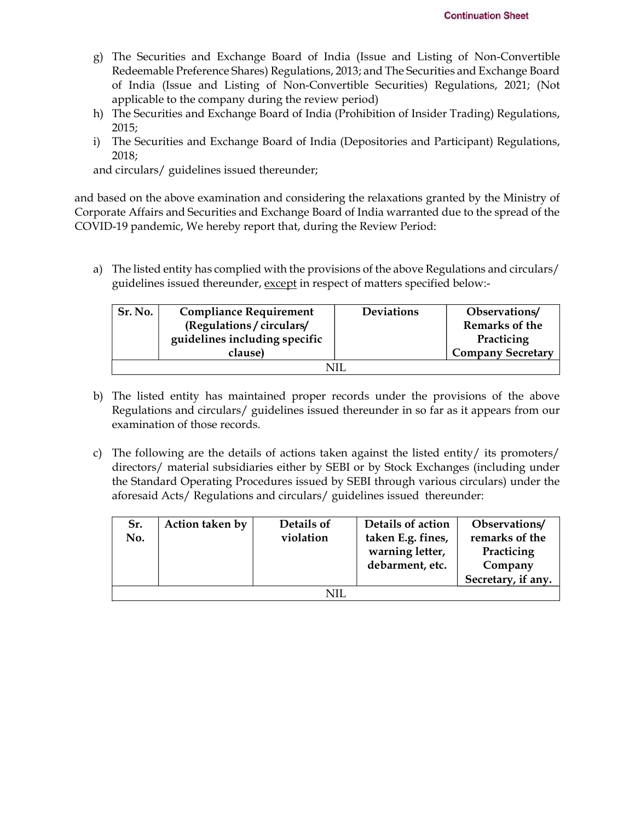- **Continuation Sheet**<br>g) The Securities and Exchange Board of India (Issue and Listing of Non-Convertible<br>Redeemable Preference Shares) Regulations, 2013; and The Securities and Exchange Board<br>of India (Issue and Listing of Redeemable Preference Shares) Regulations, 2013; and The Securities and Exchange Board of India (Issue and Listing of Non-Convertible Securities) Regulations, 2021; (Not applicable to the company during the review period) **Continuation Sheet**<br>
Redeemable Preference Shares) Regulations, 2013; and The Securities and Exchange Board<br>
of India (Issue and Listing of Non-Convertible Securities) Regulations, 2021; (Not<br>
applicable to the company du **Continuation Sheet**<br>
gy) The Securities and Exchange Board of India (Issue and Listing of Non-Convertible<br>
Redeemable Preference Shares) Regulations, 2013; and The Securities and Exchange Board<br>
of India (Issue and Listin continuation Sheet<br>
generalle Preference Shares) Regulations, 2013; and The Securities and Exchange Board<br>
of India (Issue and Listing of Non-Convertible Securities) Regulations, 2021; (Not<br>
applicable to the company durin
- 2015;
- 2018;

| guidelines issued thereunder, except in respect of matters specified below:-<br><b>Deviations</b><br>Sr. No.<br><b>Compliance Requirement</b><br>Observations/<br>(Regulations / circulars/<br>Remarks of the<br>guidelines including specific<br>Practicing<br><b>Company Secretary</b><br>clause)<br><b>NIL</b><br>The listed entity has maintained proper records under the provisions of the above<br>Regulations and circulars/ guidelines issued thereunder in so far as it appears from our<br>examination of those records.<br>The following are the details of actions taken against the listed entity/ its promoters/<br>c)<br>directors/ material subsidiaries either by SEBI or by Stock Exchanges (including under<br>the Standard Operating Procedures issued by SEBI through various circulars) under the<br>aforesaid Acts/ Regulations and circulars/ guidelines issued thereunder: | The listed entity has complied with the provisions of the above Regulations and circulars/                                                                                                                                                                     |    |       |  |                                                                                           |
|------------------------------------------------------------------------------------------------------------------------------------------------------------------------------------------------------------------------------------------------------------------------------------------------------------------------------------------------------------------------------------------------------------------------------------------------------------------------------------------------------------------------------------------------------------------------------------------------------------------------------------------------------------------------------------------------------------------------------------------------------------------------------------------------------------------------------------------------------------------------------------------------------|----------------------------------------------------------------------------------------------------------------------------------------------------------------------------------------------------------------------------------------------------------------|----|-------|--|-------------------------------------------------------------------------------------------|
| b)                                                                                                                                                                                                                                                                                                                                                                                                                                                                                                                                                                                                                                                                                                                                                                                                                                                                                                   | based on the above examination and considering the relaxations granted by the Ministry of<br>porate Affairs and Securities and Exchange Board of India warranted due to the spread of the<br>VID-19 pandemic, We hereby report that, during the Review Period: |    |       |  |                                                                                           |
|                                                                                                                                                                                                                                                                                                                                                                                                                                                                                                                                                                                                                                                                                                                                                                                                                                                                                                      |                                                                                                                                                                                                                                                                |    |       |  |                                                                                           |
|                                                                                                                                                                                                                                                                                                                                                                                                                                                                                                                                                                                                                                                                                                                                                                                                                                                                                                      |                                                                                                                                                                                                                                                                |    |       |  |                                                                                           |
|                                                                                                                                                                                                                                                                                                                                                                                                                                                                                                                                                                                                                                                                                                                                                                                                                                                                                                      |                                                                                                                                                                                                                                                                |    |       |  |                                                                                           |
|                                                                                                                                                                                                                                                                                                                                                                                                                                                                                                                                                                                                                                                                                                                                                                                                                                                                                                      |                                                                                                                                                                                                                                                                | a) |       |  |                                                                                           |
| and circulars/ guidelines issued thereunder;                                                                                                                                                                                                                                                                                                                                                                                                                                                                                                                                                                                                                                                                                                                                                                                                                                                         |                                                                                                                                                                                                                                                                |    | 2018; |  | i) The Securities and Exchange Board of India (Depositories and Participant) Regulations, |

- Regulations and circulars/ guidelines issued thereunder in so far as it appears from our examination of those records.
- directors/ material subsidiaries either by SEBI or by Stock Exchanges (including under the Standard Operating Procedures issued by SEBI through various circulars) under the aforesaid Acts/ Regulations and circulars/ guidelines issued thereunder:

| Sr. | Action taken by | Details of | Details of action | Observations/      |
|-----|-----------------|------------|-------------------|--------------------|
| No. |                 | violation  | taken E.g. fines, | remarks of the     |
|     |                 |            | warning letter,   | Practicing         |
|     |                 |            | debarment, etc.   | Company            |
|     |                 |            |                   | Secretary, if any. |
|     |                 | NIL        |                   |                    |